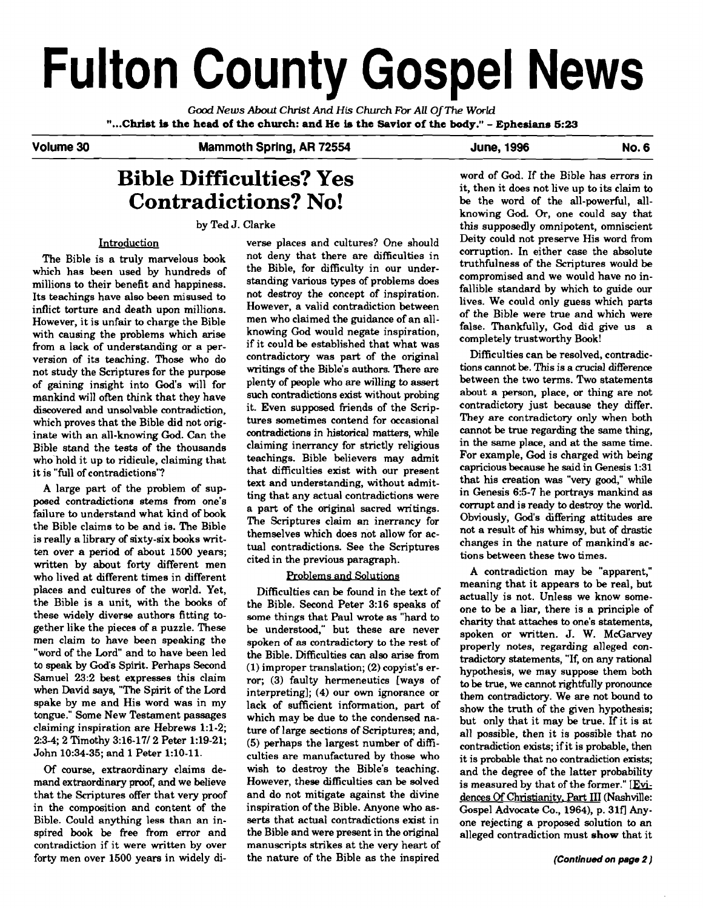# **Fulton County Gospel News**

Cad **News About** Christ **And His** *Church For* **All** *OjThe* **World "...Christ b the head of the church: and He is the Savior of the body."** - **Ephesians 5:23** 

#### Volume 30 **Mammoth Spring, AR 72554** June, 1996 Mo. 6

# **Bible Difficulties? Yes** word of God. If the Bible has errors in **Contradictions? No!**

### Introduction

The Bible is a truly marvelous book which has been used by hundreds of millions to their benefit and happiness. Its teachings have also been misused to inflict torture and death upon millions. However, it is unfair to charge the Bible with causing the problems which arise from a lack of understanding or a perversion of its teaching. Those who do not study the Scriptures for the purpose of gaining insight into God's will for mankind will often think that they have discovered and unsolvable contradiction, which proves that the Bible did not originate with an all-knowing **God.** Can the Bible stand the tests of the thousands who'hold it up to ridicule, claiming that it is "full of contradictions"? that difficulties exist with our present

A large part of the problem of supposed contradictions stems from one's failure to understand what kind of book the Bible claims to be and is. The Bible is really a library of sixty-six books written over a period of about 1500 years; ten over a period of about 1500 years;<br>
written by about forty different mencited in the previous paragraph.<br>
who lived at different times in different Problems and Solutions and A contradiction may be "a who lived at different times in different places and cultures of the world. Yet, the Bible is a unit. with the books of these widely diverse authors fitting together like the pieces of a puzzle. These men claim to have been speaking the "word of the Lord" and to have been led to speak by God's Spirit. Perhaps Second Samuel 23:2 best expresses this claim when David says, "The Spirit of the Lord spake by me and His word was in my lack of sufficient information, part of tongue." Some New Testament passages claiming inspiration are Hebrews 1:l-2; 2:34,2 Timothy 3:16-1712 Peter 1:19-21; John 10:34-35; and 1 Peter 1:lO-11.

**Of** course, extraordinary claims demand extraordinary **proof,** and we believe that the Scriptures offer that very proof in the composition and content of the Bible. Could anything less than an inspired book be free from error and contradiction if it were written by over forty men over 1500 years in widely di-<br>the nature of the Bible as the inspired<br>(Continued on page 2)

verse places and cultures? One should not deny that there are difficulties in the Bible, for difficulty in our understanding various types of problems does not destroy the concept of inspiration. However, a valid contradiction between men who claimed the guidance of an allknowing God would negate inspiration, if it could be established that what was contradictory was part of the original writings of the Bible's authors. There are plenty of people who are willing to assert such contradictions exist without probing it. Even supposed friends of the Scriptures sometimes contend for occasional contradictions in historical matters, while claiming inerrancy for strictly religious teachings. Bible believers may admit text and understanding, without admitting that any actual contradictions were a part of the original sacred writings. The Scriptures claim an inerrancy for themselves which does not allow for actual contradictions. See the Scriptures<br>cited in the previous paragraph.

the Bible. Second Peter 3:16 speaks of some things that Paul wrote as "hard to be understood," but these are never spoken of **as** contradictory to the rest of the Bible. Difficulties can also arise from  $(1)$  improper translation;  $(2)$  copyist's error; (3) faulty hermeneutics [ways of interpreting]; (4) our own ignorance or which may be due to the condensed nature of large sections of Scriptures; and, (5) perhaps the largest number of difficulties are manufactured by those who wish to destroy the Bible's teaching. However, these difficulties **can** be solved and do not mitigate against the divine inspiration of the Bible. Anyone who asserts that actual contradictions exist in the Bible and were present in the original manuscripts strikes at the very heart of the nature of the Bible as the inspired

it, then it does not live up to its claim to<br>be the word of the all-powerful, allknowing God. **Or,** one could **say** that by Ted J. Clarke this supposedly omnipotent, omniscient Deity could not preserve His word from corruption. In either case the absolute truthfulness of the Scriptures would be compromised and we would have no infallible standard by which to guide our lives. We could only guess which parts of the Bible were true and which were false. Thankfully, God did give us a completely trustworthy Book!

> Difficulties can be resolved, contradictions cannot be. This is a crucial difference between the two terms. Two statements about a person, place, or thing are not contradictory just because they differ. They are contradictory only when both cannot be true regarding the same thing, in the same place, and at the same time. For example, God is charged with being capricious because he said in Genesis 1:31 that his creation was "very good," while in Genesis 6:5-7 he portrays mankind as corrupt and is ready to destroy the world. Obviously, God's differing attitudes are not a result of his whimsy, but of drastic changes in the nature of mankind's **ac-**

A contradiction may be "apparent," meaning that it appears to be real, but Difficulties can be found in the text of actually is not. Unless we know someone to be a liar, there is a principle of charity that attaches to one's statements, spoken or written. J. W. McGarvey properly notes, regarding alleged contradictory statements, "If, on any rational hypothesis, we may suppose them both to be true, we cannot rightfidly pronounce them contradictory. We are not bound to show the truth of the given hypothesis; but only that it may be true. If it is at all possible, then it is possible that no contradiction exists; if it is probable, then it is probable that no contradiction exists; and the degree of the latter probability is measured by that of the former."  $[Evi$ dences Of Christianity, Part III (Nashville: Gospel Advocate Co., 1964), p. 31f] Anyone rejecting a proposed solution to an alleged contradiction must **show** that it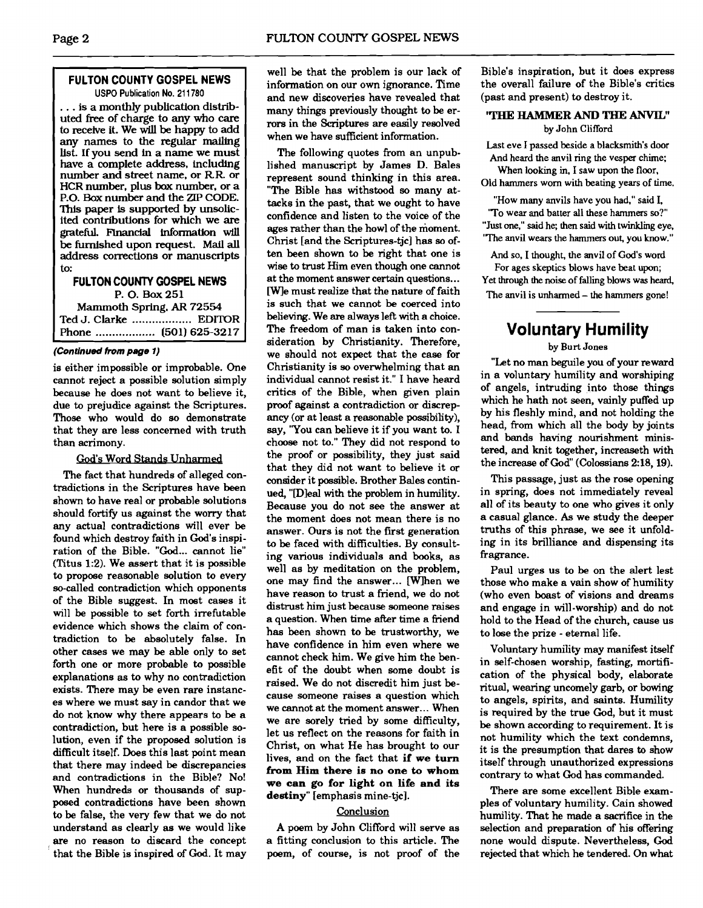#### **FULTON COUNTY GOSPEL NEWS USPO Publication No. 21 1780**

... is a monthly publication distributed free of charge to any who care to receive it. We will be happy to add any names to the regular mailing list. If you send in a name we must have a complete address, including number and street name, or RR. or HCR number, plus box number. or a P.O. Box number and the ZIP CODE. This paper is supported by unsolicited contributions for which we are **grateful.** Financial information will be furnished upon request. Mall **all**  address corrections or manuscripts to:

## **FULTON COUNTY GOSPEL NEWS**

P. 0. **Box 251** 

Mammoth Spring. **AR 72554**  Ted J. Clarke .................. EDITOR Phone .................... (501) 625-3217

#### **(Continued from page 1)**

is either impossible or improbable. One cannot reject a possible solution simply because he does not want to believe it, due to prejudice against the Scriptures. Those who would do **so** demonstrate that they are less concerned with truth than acrimony.

#### God's Word Stands Unharmed

The fact that hundreds of alleged contradictions in the Scriptures have been shown to have real or probable solutions should fortify us against the worry that any actual contradictions will ever be found which destroy faith in God's inspiration of the Bible. **"God...** cannot lie" (Titus 1:2). We assert that it is possible to propose reasonable solution to every so-called contradiction which opponents of the Bible suggest. In most cases it will be possible to set forth irrefutable evidence which shows the claim of contradiction to be absolutely false. In other cases we may be able only to set forth one or more probable to possible explanations as to why no contradiction exists. There may be even rare instances where we must say in candor that we do not know why there appears to be a contradiction, but here is a possible solution, even if the proposed solution is difficult itself. Does this last point mean that there may indeed be discrepancies and contradictions in the Bible? No! When hundreds or thousands of supposed contradictions have been shown to be false, the very few that we do not understand as clearly **as** we would like are no reason to discard the concept that the Bible is inspired of God. It may

well be that the problem is our lack of information on our own ignorance. Time and new discoveries have revealed that many things previously thought to be errors in the Scriptures are easily resolved when we have sufficient information.

The following quotes from an unpublished manuscript by James D. Bales represent sound thinking in this area. "The Bible has withstood so many attacks in the past, that we ought to have confidence and listen to the voice of the ages rather than the howl of the moment. Christ [and the Scriptures-tjc] has so often been shown to be right that one is wise to trust Him even though one cannot at the moment answer certain questions.. . CWJe must realize that the nature of faith is such that we cannot be coerced into believing. We **are** always left with a choice. The freedom of man is taken into consideration by Christianity. Therefore, we should not expect that the case for Christianity is so overwhelming that an individual cannot resist it." I have heard critics of the Bible, when given plain proof against a contradiction or discrepancy (or at least a reasonable possibility), say, 'You can believe it if you want to. I choose not to." They did not respond to the proof or possibility, they just said that they did not want to believe it or consider it possible. Brother Bales continued, "[Dleal with the problem in humility. Because you do not see the answer at the moment does not mean there is no answer. Ours is not the first generation to be faced with difficulties. By consulting various individuals and books, as well as by meditation on the problem, one may find the answer... [W]hen we have reason to trust a friend, we do not distrust him just because someone raises a question. When time after time a friend has been shown to be trustworthy, we have confidence in him even where we cannot check him. We give him the benefit of the doubt when some doubt is raised. We do not discredit him just because someone raises a question which we cannot at the moment answer... When we are sorely tried by some difficulty, let us reflect on the reasons for faith in Christ, on what He has brought to our lives, and on the fact that **if we turn from Him there is no one to whom we can go for light on life and its destiny"** [emphasis mine-tjc].

#### **Conclusion**

A poem by John Clifford will serve as a fitting conclusion to this article. The poem, of course, is not proof of the

Bible's inspiration, but it does express the overall failure of the Bible's critics (past and present) to destroy it.

# **'THE HAMRlER AND THE ANVIL"**

by John Clifford

Last eve I passed beside a blacksmith's door And heard the anvil ring the vesper chime; When looking in, I saw upon the floor,

Old hammers worn with beating years of time.

"How many anvils have you had," said I, 'To wear and batter all these hammers **so?"**  "Just one," said he; then said with twinkling eye. 'The anvil wears the hammers out, you know."

And so, I thought, the anvil of God's word For ages skeptics blows have beat upon; Yet through the noise of falling blows was heard, The anvil is unharmed - the hammers gone!

# **Voluntary Humility**

#### by Burt Jones

"Let no man beguile you of your reward in a voluntary humility and worshiping of angels, intruding into those things which he hath not seen, vainly puffed up by his fleshly mind, and not holding the head, from which all the body by joints and bands having nourishment ministered, and knit together, increaseth with the increase of God" (Colossians 2:18,19).

This passage, just as the rose opening in spring, does not immediately reveal all of its beauty to one who gives it only a casual glance. **As** we study the deeper truths of this phrase, we see it unfolding in its brilliance and dispensing its fragrance.

Paul urges us to be on the alert lest those who make a vain show of humility (who even boast of visions and dreams and engage in will-worship) and do not hold to the Head of the church, cause us to lose the prize - eternal life.

Voluntary humility may manifest itself in self-chosen worship, fasting, mortification of the physical body, elaborate ritual, wearing uncomely garb, or bowing to angels, spirits, and saints. Humility is required by the true God, but it must be shown according to requirement. It is not humility which the text condemns, it is the presumption that dares to show itself through unauthorized expressions contrary to what God has commanded.

There are some excellent Bible examples of voluntary humility. Cain showed humility. That he made a sacrifice in the selection and preparation of his offering none would dispute. Nevertheless, God rejected that which he tendered. On what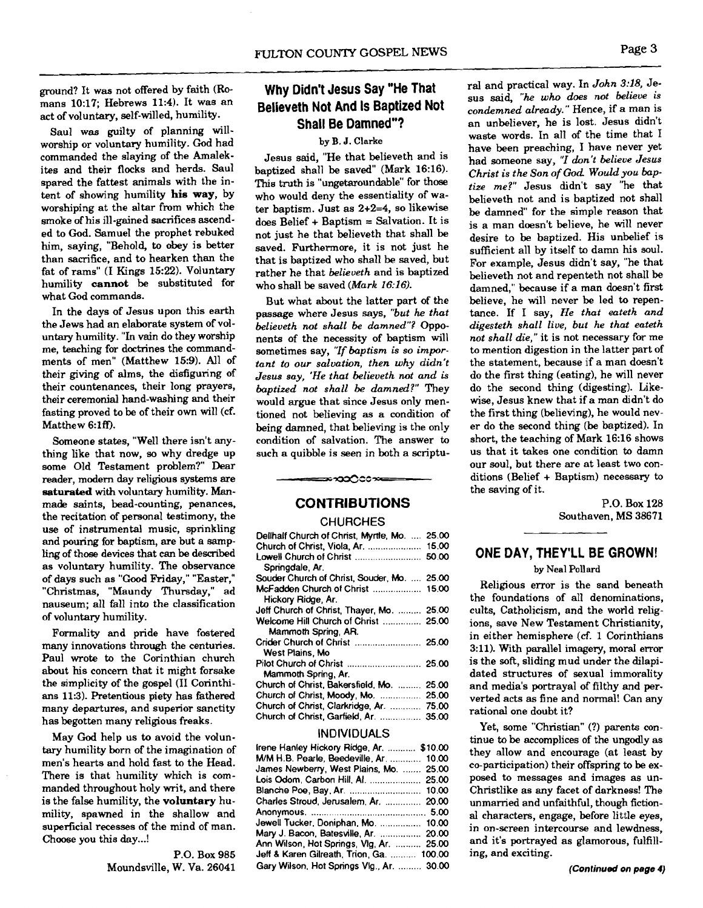ground? It was not offered by faith (Romans 10:17; Hebrews 11:4). It was an act of voluntary, self-willed, humility.

Saul **was** guilty of planning willworship or voluntary humility. God had commanded the slaying of the Amalekites and their flocks and herds. Saul spared the fattest animals with the intent of showing humility **his** way, by worshiping at the altar from which the smoke of his ill-gained sacrifices ascended to God. Samuel the prophet rebuked him, saying, "Behold, to obey is better than sacrifice, and to hearken than the fat of rams" (I Kings 1522). Voluntary humility cannot be substituted for what God commands.

In the days of Jesus upon this earth the Jews had an elaborate system of voluntary humility. "In vain do they worship me, teaching for doctrines the commandments of men" (Matthew 15:9). All of their giving of alms, the disfiguring of their countenances, their long prayers, their ceremonial hand-washing and their fasting proved to be of their own will (cf. Matthew 6:lff).

Someone states, "Well there isn't anything like that now, so why dredge up some Old Testament problem?" Dear reader, modem day religious systems are saturated with voluntary humility. **Man**made saints, bead-counting, penances, the recitation of personal testimony, the use of instrumental music, sprinkling and pouring for baptism, are but a sampling of those devices that can be described as voluntary humility. The observance of days such as **"Good** Friday," "Easter," "Christmas, "Maundy Thursday," ad nauseum; all fall into the classification of voluntary humility.

Formality and pride have fostered many innovations through the centuries. Paul wrote to the Corinthian church about his concern that it might forsake the simplicity of the gospel **(I1** Corinthians 11:3). Pretentious piety has fathered many departures, and superior sanctity has begotten many religious freaks.

May God help us to avoid the voluntary humility born of the imagination of men's hearts and hold fast to the Head. There is that humility which is commanded throughout holy writ, and there is the false humility, the voluntary humility, spawned in the shallow and superficial recesses of the mind of man. Choose you this day...!

> P.O. Box 985 Moundsville, W. Va. 26041

# **Why Didn't Jesus Say "He That Believeth Not And Is Baptized Not Shall Be Damned"?**

#### **by B. J. Clarke**

Jesus said, "He that believeth and is baptized shall be saved" (Mark 16:16). This truth is "ungetaroundable" for those who would deny the essentiality of water baptism. Just as 2+2=4, so likewise does Belief + Baptism  $=$  Salvation. It is not just he that believeth that shall be saved. Furthermore, it is not just he that is baptized who shall be saved, but rather he that *believeth* and is baptized who shall be saved *(Mark* **16:16).** 

But what about the latter part of the passage where Jesus says, *"but* he *that belieueth not shall be damned"?* Opponents of the necessity of baptism will sometimes say, *"Zf baptism is so important to our salvation, then why didn't Jesus say, 'He that belieueth not and is baptized not shall be damned?"* They would argue that since Jesus only mentioned not believing **as** a condition of being damned, that believing is the only condition of salvation. The answer to such a quibble is seen in both a scriptu-

#### **CONTRIBUTIONS**

∞ೠ೧೦೦≫

#### **CHURCHES**

| Dellhalf Church of Christ, Myrtle, Mo.<br>Church of Christ, Viola, Ar. | 25.00<br>15,00<br>50.00 |
|------------------------------------------------------------------------|-------------------------|
| Springdale, Ar.<br>Souder Church of Christ, Souder, Mo.  25.00         |                         |
| Hickory Ridge, Ar.                                                     |                         |
| Jeff Church of Christ, Thayer, Mo.  25.00                              |                         |
| Welcome Hill Church of Christ  25.00                                   |                         |
| Mammoth Spring, AR.                                                    |                         |
| West Plains, Mo.                                                       |                         |
| Mammoth Spring, Ar.                                                    |                         |
| Church of Christ, Bakersfield, Mo.                                     | 25.00                   |
| Church of Christ, Moody, Mo.                                           | 25.00                   |
| Church of Christ, Clarkridge, Ar.  75.00                               |                         |
| Church of Christ, Garfield, Ar.  35.00                                 |                         |

#### INDIVIDUALS

| frene Hanley Hickory Ridge, Ar.  \$10.00  |  |
|-------------------------------------------|--|
| M/M H.B. Pearle, Beedeville, Ar.  10.00   |  |
| James Newberry, West Plains, Mo.  25.00   |  |
| Lois Odom, Carbon Hill, Al.  25.00        |  |
| Blanche Poe, Bay, Ar.  10.00              |  |
| Charles Stroud, Jerusalem, Ar.  20.00     |  |
|                                           |  |
| Jewell Tucker, Doniphan, Mo.  10.00       |  |
| Mary J. Bacon, Batesville, Ar.  20.00     |  |
| Ann Wilson, Hot Springs, Vlg, Ar.  25.00  |  |
| Jeff & Karen Gilreath, Trion, Ga.  100.00 |  |
| Gary Wilson, Hot Springs Vlg., Ar.  30.00 |  |

ral and practical way. In *John 3:18,* Jesus said, "he *who does not believe is condemned already."* Hence, if a man is an unbeliever, he is lost. Jesus didn't waste words. In all of the time that I have been preaching, I have never yet had someone say, "l *don't belieue Jesus Christ is the Son of God Would you hptize* **me?"** Jesus didn't say "he that believeth not and is baptized not shall be damned" for the simple reason that is a man doesn't believe, he will never desire to be baptized. His unbelief is sufficient all by itself to damn his soul. For example, Jesus didn't say, "he that believeth not and repenteth not shall be damned," because if a man doesn't first believe, he will never be led to repentance. If I say, *He that eateth and digesteth shall live, but he that eateth not shall die,"* it is not necessary for me to mention digestion in the latter part of the statement, because if a man doesn't do the first thing (eating), he will never do the second thing (digesting). Likewise, Jesus knew that if a man didn't do the first thing (believing), he would never do the second thing (be baptized). In short, the teaching of Mark 16:16 shows us that it takes one condition to damn our soul, but there are at least two conditions (Belief + Baptism) necessary to the saving of it.

> P.O. Box 128 Southaven, MS 38671

#### **ONE DAY, THEY'LL BE GROWN! by Neal Pollard**

Religious error is the sand beneath the foundations of all denominations, cults, Catholicism, and the world religions, save New Testament Christianity, in either hemisphere **(cf.** 1 Corinthians 3:ll). With parallel imagery, moral error is the soft, sliding mud under the dilapidated structures of sexual immorality and media's portrayal of filthy and perverted acts as fine and normal! Can any rational one doubt it?

Yet, some "Christian" (?) parents continue to be accomplices of the ungodly as they allow and encourage (at least by co-participation) their offspring to be exposed to messages and images as un-Christlike as any facet of darkness! The unmarried and unfaithful, though fictional characters, engage, before little eyes, in on-screen intercourse and lewdness, and it's portrayed as glamorous, fulfilling, and exciting.